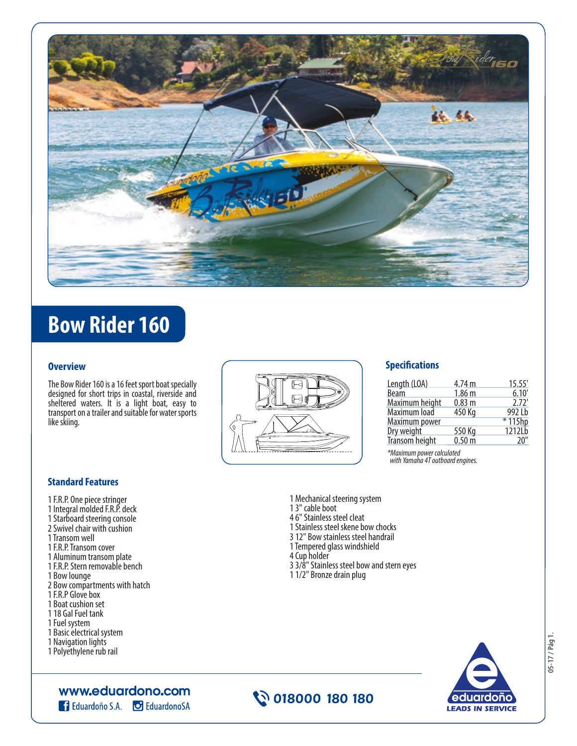

# **Bow Rider 160**

#### **Overview**

The Bow Rider 160 is a 16 feet sport boat specially designed for short trips in coastal, riverside and sheltered waters. It is a light boat, easy to transport on a trailer and suitable for water sports like skiing.



#### **Specifications**

| Length (LOA)   | 4.74 m              | 15.55'   |
|----------------|---------------------|----------|
| <b>Beam</b>    | 1.86 <sub>m</sub>   | 6.10     |
| Maximum height | 0.83 <sub>m</sub>   | 2.72'    |
| Maximum load   | 450 Kg              | 9921h    |
| Maximum power  |                     | $*115hp$ |
| Dry weight     | 550 Kg              | 12121h   |
| Transom height | $0.50 \,\mathrm{m}$ | 20"      |

*\*Maximum power calculated with Yamaha 4T outboard engines.*

## **Standard Features**

- 1 F.R.P. One piece stringer 1 Integral molded F.R.P. deck 1 Starboard steering console 2 Swivel chair with cushion 1 Transom well
- 1 F.R.P. Transom cover
- 1 Aluminum transom plate
- 1 F.R.P. Stern removable bench
- 1 Bow lounge
- 2 Bow compartments with hatch
- 1 F.R.P Glove box
- 1 Boat cushion set
- 1 18 Gal Fuel tank
- 1 Fuel system
- 1 Basic electrical system 1 Navigation lights
- 1 Polyethylene rub rail

www.eduardono.com

**Eduardono S.A. C** Eduardono SA



1 Mechanical steering system

1 Stainless steel skene bow chocks 3 12" Bow stainless steel handrail 1 Tempered glass windshield

3 3/8" Stainless steel bow and stern eyes

1 3" cable boot 4 6" Stainless steel cleat

4 Cup holder

1 1/2" Bronze drain plug